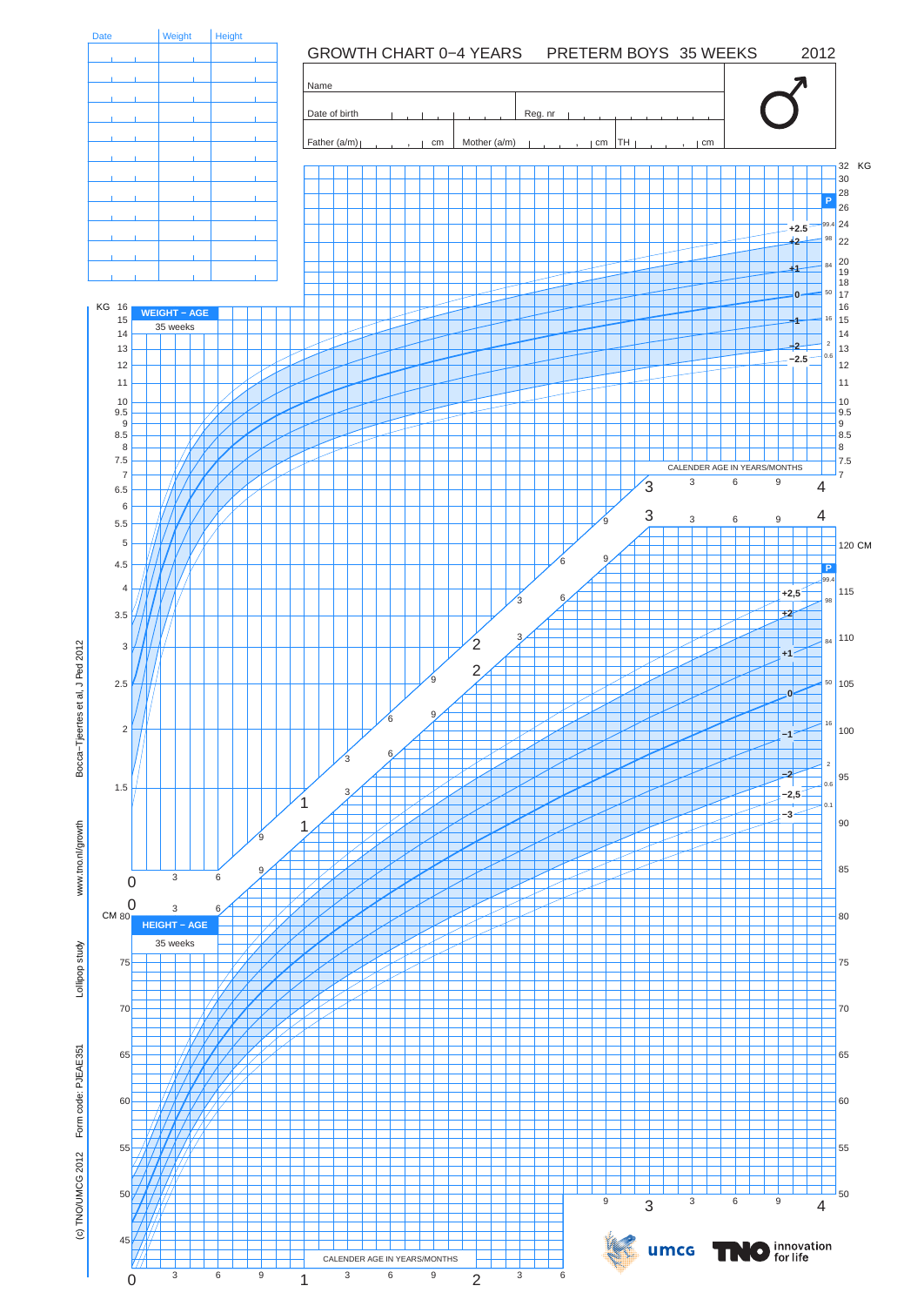